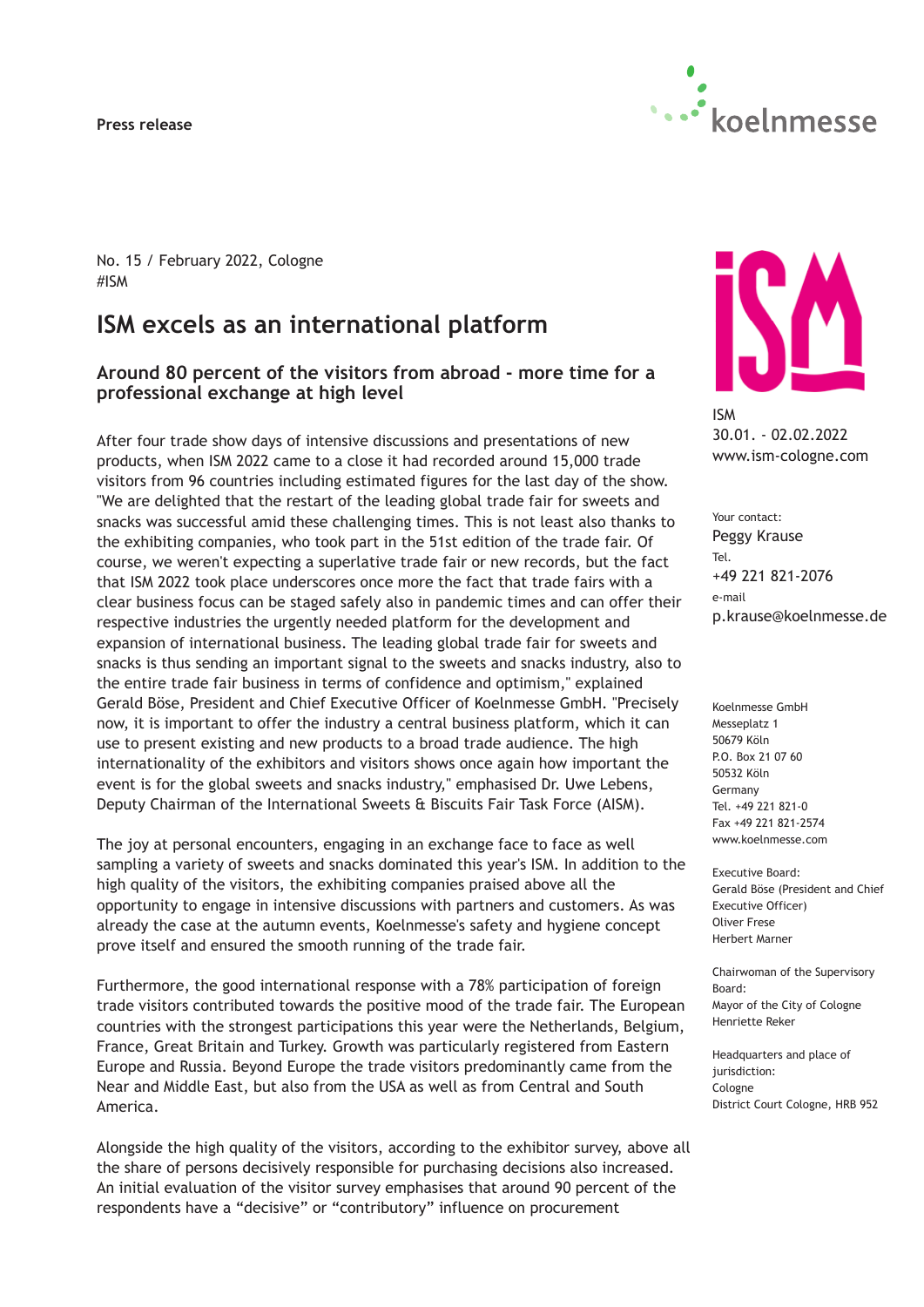**Press release**



No. 15 / February 2022, Cologne #ISM

# **ISM excels as an international platform**

# **Around 80 percent of the visitors from abroad - more time for a professional exchange at high level**

After four trade show days of intensive discussions and presentations of new products, when ISM 2022 came to a close it had recorded around 15,000 trade visitors from 96 countries including estimated figures for the last day of the show. "We are delighted that the restart of the leading global trade fair for sweets and snacks was successful amid these challenging times. This is not least also thanks to the exhibiting companies, who took part in the 51st edition of the trade fair. Of course, we weren't expecting a superlative trade fair or new records, but the fact that ISM 2022 took place underscores once more the fact that trade fairs with a clear business focus can be staged safely also in pandemic times and can offer their respective industries the urgently needed platform for the development and expansion of international business. The leading global trade fair for sweets and snacks is thus sending an important signal to the sweets and snacks industry, also to the entire trade fair business in terms of confidence and optimism," explained Gerald Böse, President and Chief Executive Officer of Koelnmesse GmbH. "Precisely now, it is important to offer the industry a central business platform, which it can use to present existing and new products to a broad trade audience. The high internationality of the exhibitors and visitors shows once again how important the event is for the global sweets and snacks industry," emphasised Dr. Uwe Lebens, Deputy Chairman of the International Sweets & Biscuits Fair Task Force (AISM).

The joy at personal encounters, engaging in an exchange face to face as well sampling a variety of sweets and snacks dominated this year's ISM. In addition to the high quality of the visitors, the exhibiting companies praised above all the opportunity to engage in intensive discussions with partners and customers. As was already the case at the autumn events, Koelnmesse's safety and hygiene concept prove itself and ensured the smooth running of the trade fair.

Furthermore, the good international response with a 78% participation of foreign trade visitors contributed towards the positive mood of the trade fair. The European countries with the strongest participations this year were the Netherlands, Belgium, France, Great Britain and Turkey. Growth was particularly registered from Eastern Europe and Russia. Beyond Europe the trade visitors predominantly came from the Near and Middle East, but also from the USA as well as from Central and South America.

Alongside the high quality of the visitors, according to the exhibitor survey, above all the share of persons decisively responsible for purchasing decisions also increased. An initial evaluation of the visitor survey emphasises that around 90 percent of the respondents have a "decisive" or "contributory" influence on procurement



ISM 30.01. - 02.02.2022 www.ism-cologne.com

Your contact: Peggy Krause Tel. +49 221 821-2076 e-mail p.krause@koelnmesse.de

Koelnmesse GmbH Messeplatz 1 50679 Köln P.O. Box 21 07 60 50532 Köln Germany Tel. +49 221 821-0 Fax +49 221 821-2574 www.koelnmesse.com

Executive Board: Gerald Böse (President and Chief Executive Officer) Oliver Frese Herbert Marner

Chairwoman of the Supervisory Board: Mayor of the City of Cologne Henriette Reker

Headquarters and place of jurisdiction: Cologne District Court Cologne, HRB 952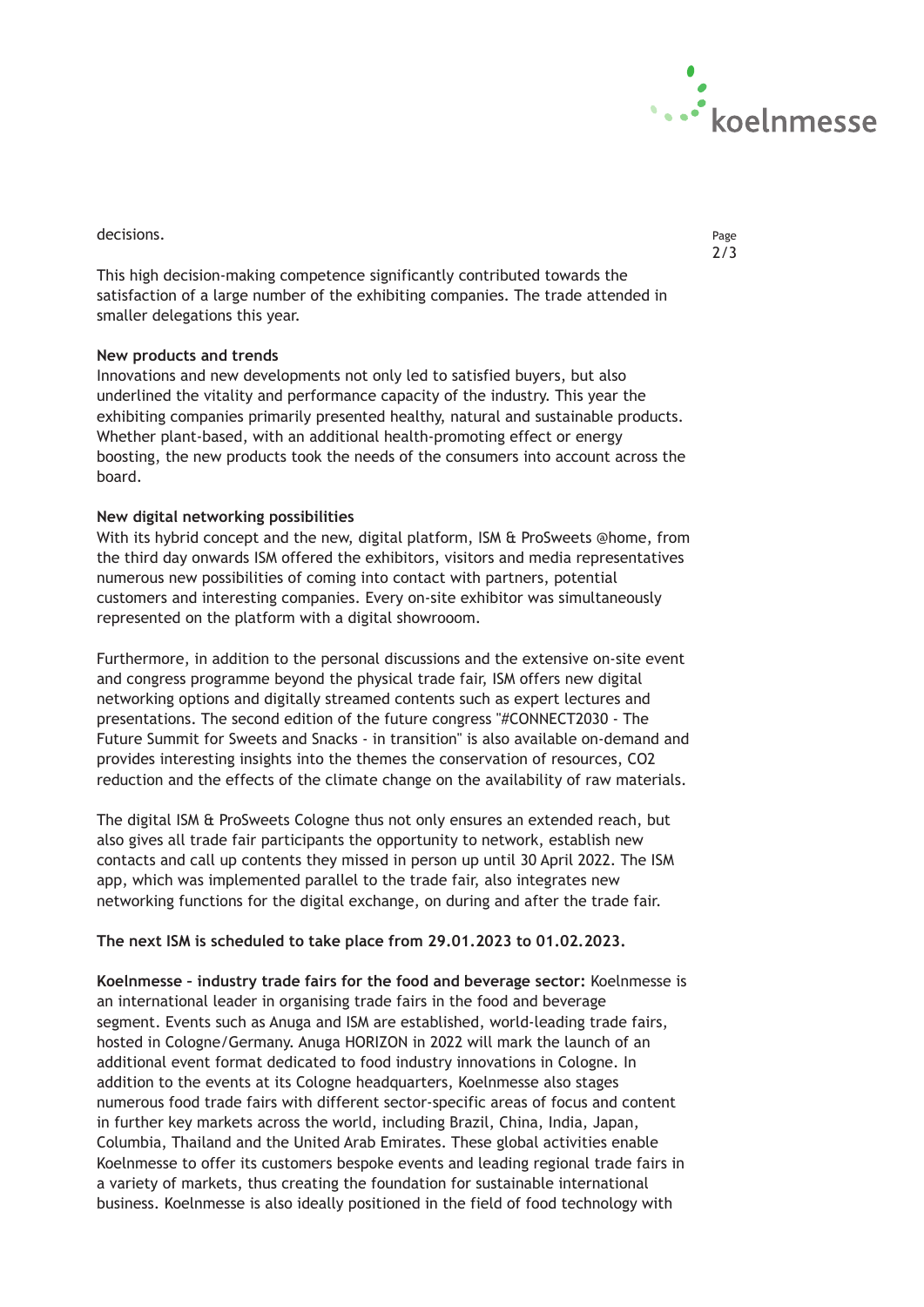

decisions.

This high decision-making competence significantly contributed towards the satisfaction of a large number of the exhibiting companies. The trade attended in smaller delegations this year.

#### **New products and trends**

Innovations and new developments not only led to satisfied buyers, but also underlined the vitality and performance capacity of the industry. This year the exhibiting companies primarily presented healthy, natural and sustainable products. Whether plant-based, with an additional health-promoting effect or energy boosting, the new products took the needs of the consumers into account across the board.

#### **New digital networking possibilities**

With its hybrid concept and the new, digital platform, ISM & ProSweets @home, from the third day onwards ISM offered the exhibitors, visitors and media representatives numerous new possibilities of coming into contact with partners, potential customers and interesting companies. Every on-site exhibitor was simultaneously represented on the platform with a digital showrooom.

Furthermore, in addition to the personal discussions and the extensive on-site event and congress programme beyond the physical trade fair, ISM offers new digital networking options and digitally streamed contents such as expert lectures and presentations. The second edition of the future congress "#CONNECT2030 - The Future Summit for Sweets and Snacks - in transition" is also available on-demand and provides interesting insights into the themes the conservation of resources, CO2 reduction and the effects of the climate change on the availability of raw materials.

The digital ISM & ProSweets Cologne thus not only ensures an extended reach, but also gives all trade fair participants the opportunity to network, establish new contacts and call up contents they missed in person up until 30 April 2022. The ISM app, which was implemented parallel to the trade fair, also integrates new networking functions for the digital exchange, on during and after the trade fair.

#### **The next ISM is scheduled to take place from 29.01.2023 to 01.02.2023.**

**Koelnmesse – industry trade fairs for the food and beverage sector:** Koelnmesse is an international leader in organising trade fairs in the food and beverage segment. Events such as Anuga and ISM are established, world-leading trade fairs, hosted in Cologne/Germany. Anuga HORIZON in 2022 will mark the launch of an additional event format dedicated to food industry innovations in Cologne. In addition to the events at its Cologne headquarters, Koelnmesse also stages numerous food trade fairs with different sector-specific areas of focus and content in further key markets across the world, including Brazil, China, India, Japan, Columbia, Thailand and the United Arab Emirates. These global activities enable Koelnmesse to offer its customers bespoke events and leading regional trade fairs in a variety of markets, thus creating the foundation for sustainable international business. Koelnmesse is also ideally positioned in the field of food technology with

Page 2/3